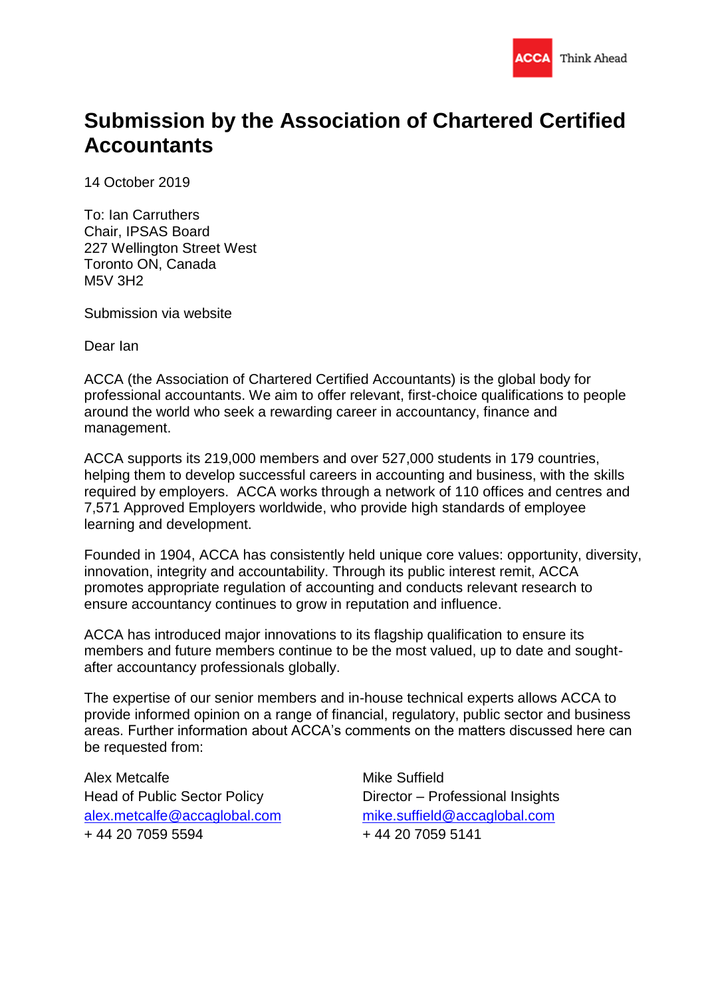

# **Submission by the Association of Chartered Certified Accountants**

14 October 2019

To: Ian Carruthers Chair, IPSAS Board 227 Wellington Street West Toronto ON, Canada M5V 3H2

Submission via website

Dear Ian

ACCA (the Association of Chartered Certified Accountants) is the global body for professional accountants. We aim to offer relevant, first-choice qualifications to people around the world who seek a rewarding career in accountancy, finance and management.

ACCA supports its 219,000 members and over 527,000 students in 179 countries, helping them to develop successful careers in accounting and business, with the skills required by employers. ACCA works through a network of 110 offices and centres and 7,571 Approved Employers worldwide, who provide high standards of employee learning and development.

Founded in 1904, ACCA has consistently held unique core values: opportunity, diversity, innovation, integrity and accountability. Through its public interest remit, ACCA promotes appropriate regulation of accounting and conducts relevant research to ensure accountancy continues to grow in reputation and influence.

ACCA has introduced major innovations to its flagship qualification to ensure its members and future members continue to be the most valued, up to date and soughtafter accountancy professionals globally.

The expertise of our senior members and in-house technical experts allows ACCA to provide informed opinion on a range of financial, regulatory, public sector and business areas. Further information about ACCA's comments on the matters discussed here can be requested from:

Alex Metcalfe Head of Public Sector Policy [alex.metcalfe@accaglobal.com](mailto:alex.metcalfe@accaglobal.com) + 44 20 7059 5594

Mike Suffield Director – Professional Insights [mike.suffield@accaglobal.com](mailto:mike.suffield@accaglobal.com) + 44 20 7059 5141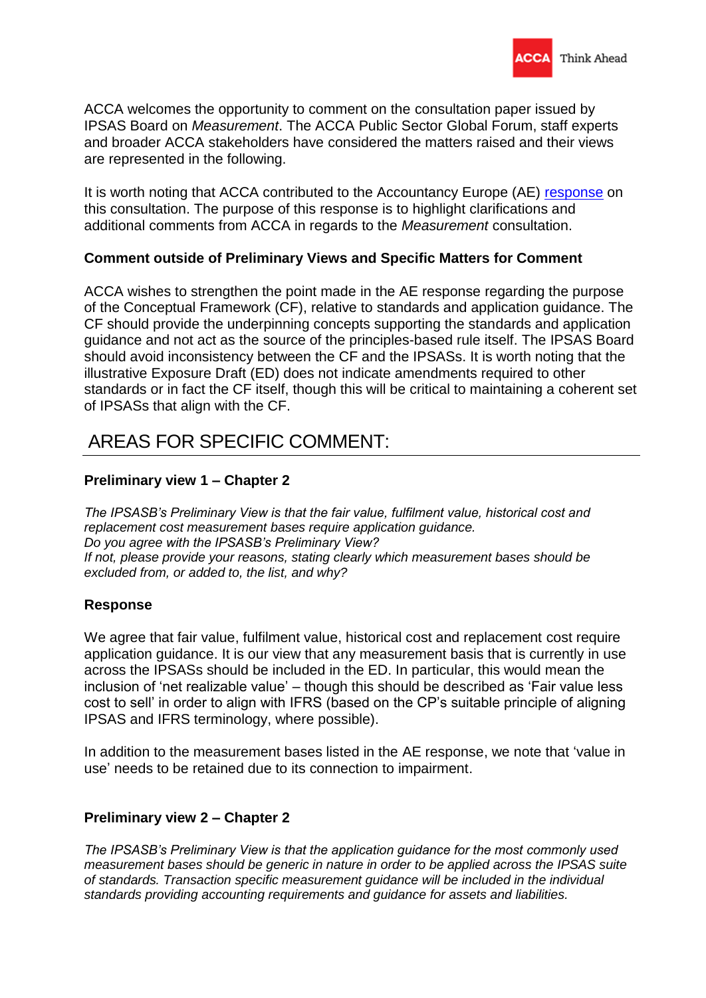

ACCA welcomes the opportunity to comment on the consultation paper issued by IPSAS Board on *Measurement*. The ACCA Public Sector Global Forum, staff experts and broader ACCA stakeholders have considered the matters raised and their views are represented in the following.

It is worth noting that ACCA contributed to the Accountancy Europe (AE) [response](https://www.accountancyeurope.eu/wp-content/uploads/Accountancy-Europe-response-to-IPSASB-Measurement-CP.pdf) on this consultation. The purpose of this response is to highlight clarifications and additional comments from ACCA in regards to the *Measurement* consultation.

# **Comment outside of Preliminary Views and Specific Matters for Comment**

ACCA wishes to strengthen the point made in the AE response regarding the purpose of the Conceptual Framework (CF), relative to standards and application guidance. The CF should provide the underpinning concepts supporting the standards and application guidance and not act as the source of the principles-based rule itself. The IPSAS Board should avoid inconsistency between the CF and the IPSASs. It is worth noting that the illustrative Exposure Draft (ED) does not indicate amendments required to other standards or in fact the CF itself, though this will be critical to maintaining a coherent set of IPSASs that align with the CF.

# AREAS FOR SPECIFIC COMMENT:

# **Preliminary view 1 – Chapter 2**

*The IPSASB's Preliminary View is that the fair value, fulfilment value, historical cost and replacement cost measurement bases require application guidance. Do you agree with the IPSASB's Preliminary View? If not, please provide your reasons, stating clearly which measurement bases should be excluded from, or added to, the list, and why?*

#### **Response**

We agree that fair value, fulfilment value, historical cost and replacement cost require application guidance. It is our view that any measurement basis that is currently in use across the IPSASs should be included in the ED. In particular, this would mean the inclusion of 'net realizable value' – though this should be described as 'Fair value less cost to sell' in order to align with IFRS (based on the CP's suitable principle of aligning IPSAS and IFRS terminology, where possible).

In addition to the measurement bases listed in the AE response, we note that 'value in use' needs to be retained due to its connection to impairment.

#### **Preliminary view 2 – Chapter 2**

*The IPSASB's Preliminary View is that the application guidance for the most commonly used measurement bases should be generic in nature in order to be applied across the IPSAS suite of standards. Transaction specific measurement guidance will be included in the individual standards providing accounting requirements and guidance for assets and liabilities.*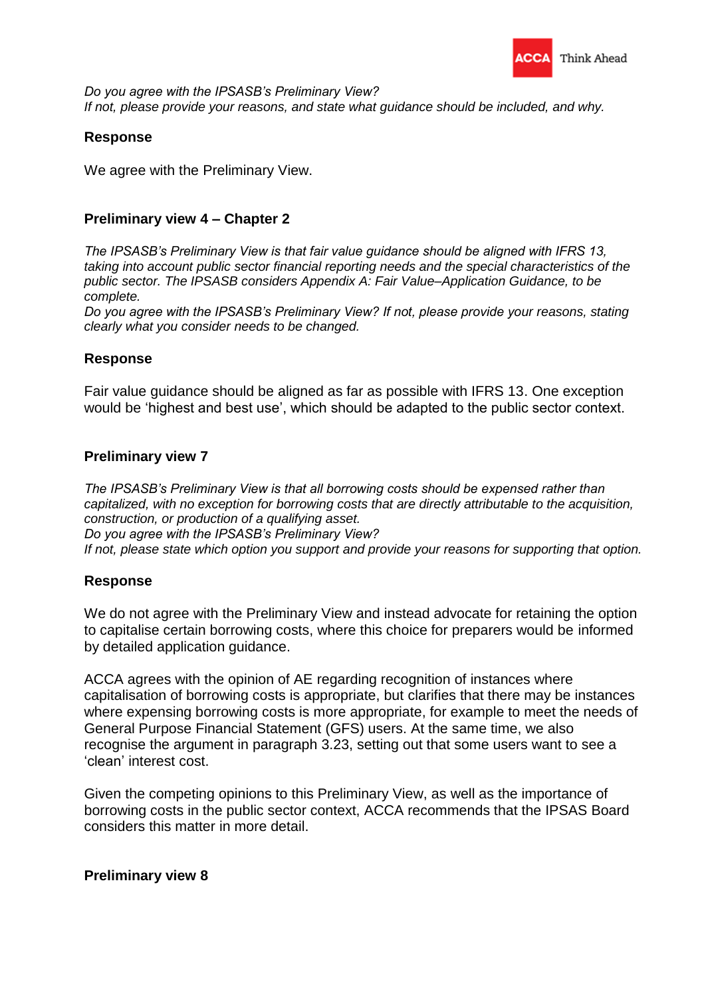

*Do you agree with the IPSASB's Preliminary View? If not, please provide your reasons, and state what guidance should be included, and why.*

#### **Response**

We agree with the Preliminary View.

# **Preliminary view 4 – Chapter 2**

*The IPSASB's Preliminary View is that fair value guidance should be aligned with IFRS 13, taking into account public sector financial reporting needs and the special characteristics of the public sector. The IPSASB considers Appendix A: Fair Value–Application Guidance, to be complete.*

*Do you agree with the IPSASB's Preliminary View? If not, please provide your reasons, stating clearly what you consider needs to be changed.*

# **Response**

Fair value guidance should be aligned as far as possible with IFRS 13. One exception would be 'highest and best use', which should be adapted to the public sector context.

#### **Preliminary view 7**

*The IPSASB's Preliminary View is that all borrowing costs should be expensed rather than capitalized, with no exception for borrowing costs that are directly attributable to the acquisition, construction, or production of a qualifying asset. Do you agree with the IPSASB's Preliminary View? If not, please state which option you support and provide your reasons for supporting that option.*

#### **Response**

We do not agree with the Preliminary View and instead advocate for retaining the option to capitalise certain borrowing costs, where this choice for preparers would be informed by detailed application guidance.

ACCA agrees with the opinion of AE regarding recognition of instances where capitalisation of borrowing costs is appropriate, but clarifies that there may be instances where expensing borrowing costs is more appropriate, for example to meet the needs of General Purpose Financial Statement (GFS) users. At the same time, we also recognise the argument in paragraph 3.23, setting out that some users want to see a 'clean' interest cost.

Given the competing opinions to this Preliminary View, as well as the importance of borrowing costs in the public sector context, ACCA recommends that the IPSAS Board considers this matter in more detail.

#### **Preliminary view 8**